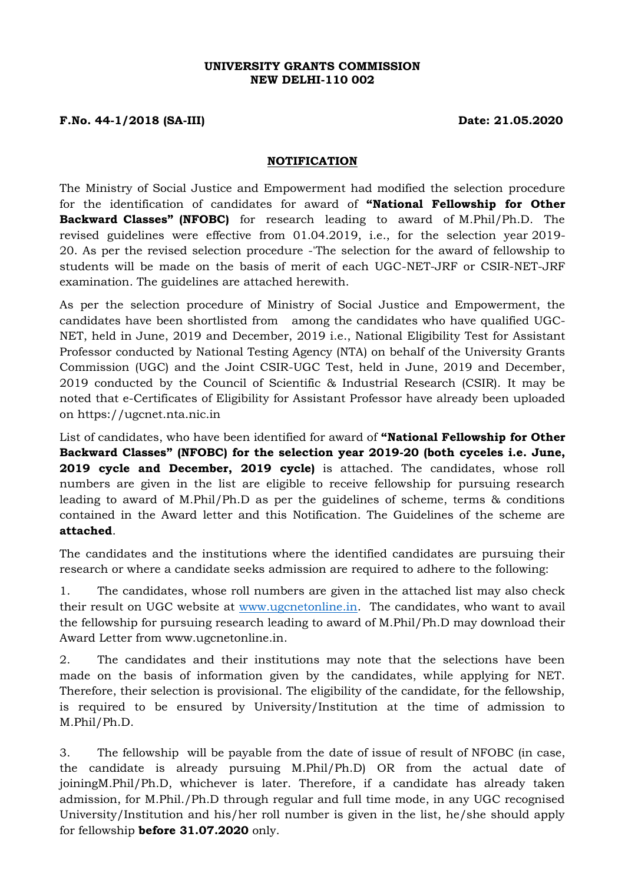### **UNIVERSITY GRANTS COMMISSION NEW DELHI-110 002**

## **F.No. 44-1/2018 (SA-III) Date: 21.05.2020**

#### **NOTIFICATION**

The Ministry of Social Justice and Empowerment had modified the selection procedure for the identification of candidates for award of **"National Fellowship for Other Backward Classes" (NFOBC)** for research leading to award of M.Phil/Ph.D. The revised guidelines were effective from 01.04.2019, i.e., for the selection year 2019- 20. As per the revised selection procedure -'The selection for the award of fellowship to students will be made on the basis of merit of each UGC-NET-JRF or CSIR-NET-JRF examination. The guidelines are attached herewith.

As per the selection procedure of Ministry of Social Justice and Empowerment, the candidates have been shortlisted from among the candidates who have qualified UGC-NET, held in June, 2019 and December, 2019 i.e., National Eligibility Test for Assistant Professor conducted by National Testing Agency (NTA) on behalf of the University Grants Commission (UGC) and the Joint CSIR-UGC Test, held in June, 2019 and December, 2019 conducted by the Council of Scientific & Industrial Research (CSIR). It may be noted that e-Certificates of Eligibility for Assistant Professor have already been uploaded on https://ugcnet.nta.nic.in

List of candidates, who have been identified for award of **"National Fellowship for Other Backward Classes" (NFOBC) for the selection year 2019-20 (both cyceles i.e. June, 2019 cycle and December, 2019 cycle)** is attached. The candidates, whose roll numbers are given in the list are eligible to receive fellowship for pursuing research leading to award of M.Phil/Ph.D as per the guidelines of scheme, terms & conditions contained in the Award letter and this Notification. The Guidelines of the scheme are **attached**.

The candidates and the institutions where the identified candidates are pursuing their research or where a candidate seeks admission are required to adhere to the following:

1. The candidates, whose roll numbers are given in the attached list may also check their result on UGC website at [www.ugcnetonline.in.](http://www.ugcnetonline.in/) The candidates, who want to avail the fellowship for pursuing research leading to award of M.Phil/Ph.D may download their Award Letter from [www.ugcnetonline.in.](http://www.ugcnetonline.in/)

2. The candidates and their institutions may note that the selections have been made on the basis of information given by the candidates, while applying for NET. Therefore, their selection is provisional. The eligibility of the candidate, for the fellowship, is required to be ensured by University/Institution at the time of admission to M.Phil/Ph.D.

3. The fellowship will be payable from the date of issue of result of NFOBC (in case, the candidate is already pursuing M.Phil/Ph.D) OR from the actual date of joiningM.Phil/Ph.D, whichever is later. Therefore, if a candidate has already taken admission, for M.Phil./Ph.D through regular and full time mode, in any UGC recognised University/Institution and his/her roll number is given in the list, he/she should apply for fellowship **before 31.07.2020** only.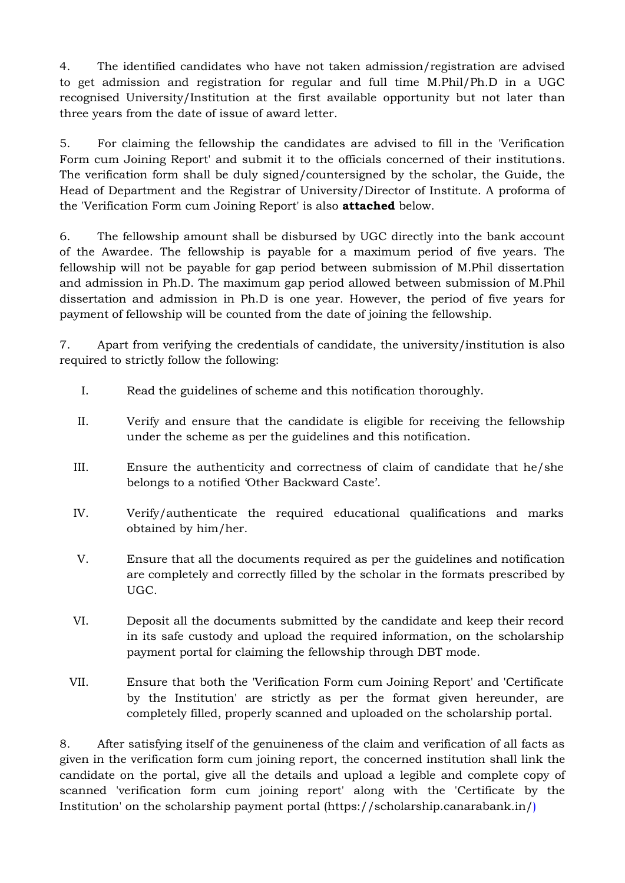4. The identified candidates who have not taken admission/registration are advised to get admission and registration for regular and full time M.Phil/Ph.D in a UGC recognised University/Institution at the first available opportunity but not later than three years from the date of issue of award letter.

5. For claiming the fellowship the candidates are advised to fill in the 'Verification Form cum Joining Report' and submit it to the officials concerned of their institutions. The verification form shall be duly signed/countersigned by the scholar, the Guide, the Head of Department and the Registrar of University/Director of Institute. A proforma of the 'Verification Form cum Joining Report' is also **attached** below.

6. The fellowship amount shall be disbursed by UGC directly into the bank account of the Awardee. The fellowship is payable for a maximum period of five years. The fellowship will not be payable for gap period between submission of M.Phil dissertation and admission in Ph.D. The maximum gap period allowed between submission of M.Phil dissertation and admission in Ph.D is one year. However, the period of five years for payment of fellowship will be counted from the date of joining the fellowship.

7. Apart from verifying the credentials of candidate, the university/institution is also required to strictly follow the following:

- I. Read the guidelines of scheme and this notification thoroughly.
- II. Verify and ensure that the candidate is eligible for receiving the fellowship under the scheme as per the guidelines and this notification.
- III. Ensure the authenticity and correctness of claim of candidate that he/she belongs to a notified 'Other Backward Caste'.
- IV. Verify/authenticate the required educational qualifications and marks obtained by him/her.
- V. Ensure that all the documents required as per the guidelines and notification are completely and correctly filled by the scholar in the formats prescribed by UGC.
- VI. Deposit all the documents submitted by the candidate and keep their record in its safe custody and upload the required information, on the scholarship payment portal for claiming the fellowship through DBT mode.
- VII. Ensure that both the 'Verification Form cum Joining Report' and 'Certificate by the Institution' are strictly as per the format given hereunder, are completely filled, properly scanned and uploaded on the scholarship portal.

8. After satisfying itself of the genuineness of the claim and verification of all facts as given in the verification form cum joining report, the concerned institution shall link the candidate on the portal, give all the details and upload a legible and complete copy of scanned 'verification form cum joining report' along with the 'Certificate by the Institution' on the scholarship payment portal [\(https://scholarship.canarabank.in/\)](https://scholarship.canarabank.in/)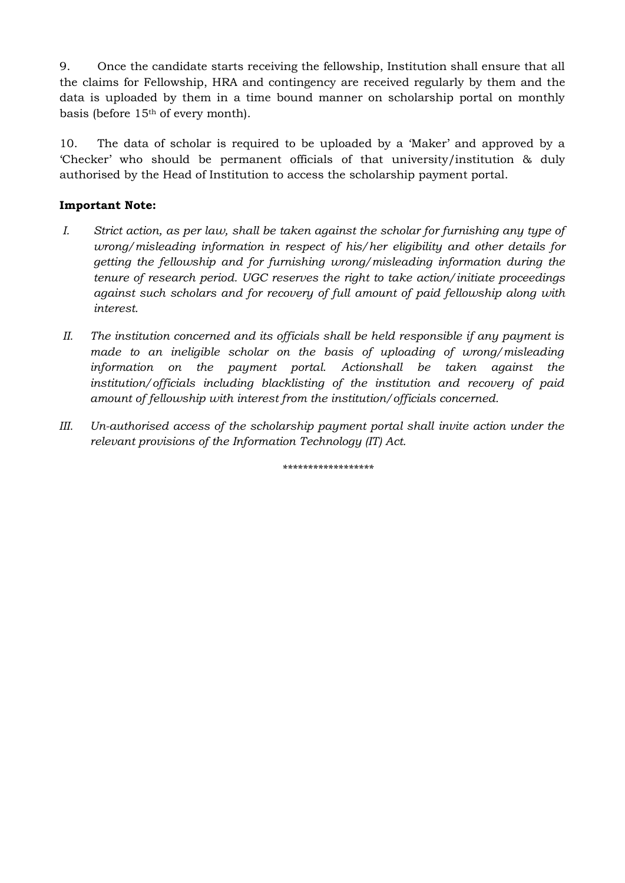9. Once the candidate starts receiving the fellowship, Institution shall ensure that all the claims for Fellowship, HRA and contingency are received regularly by them and the data is uploaded by them in a time bound manner on scholarship portal on monthly basis (before 15th of every month).

10. The data of scholar is required to be uploaded by a 'Maker' and approved by a 'Checker' who should be permanent officials of that university/institution & duly authorised by the Head of Institution to access the scholarship payment portal.

## **Important Note:**

- *I. Strict action, as per law, shall be taken against the scholar for furnishing any type of wrong/misleading information in respect of his/her eligibility and other details for getting the fellowship and for furnishing wrong/misleading information during the tenure of research period. UGC reserves the right to take action/initiate proceedings against such scholars and for recovery of full amount of paid fellowship along with interest.*
- *II. The institution concerned and its officials shall be held responsible if any payment is made to an ineligible scholar on the basis of uploading of wrong/misleading* information on the payment portal. Actionshall be taken against the *institution/officials including blacklisting of the institution and recovery of paid amount of fellowship with interest from the institution/officials concerned.*
- *III. Un-authorised access of the scholarship payment portal shall invite action under the relevant provisions of the Information Technology (IT) Act.*

*\*\*\*\*\*\*\*\*\*\*\*\*\*\*\*\*\*\**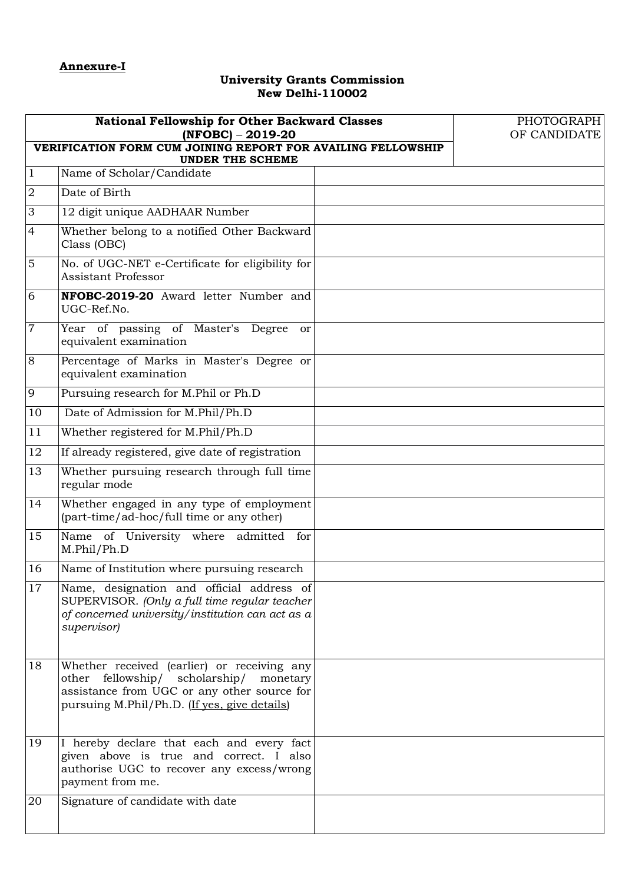## **University Grants Commission New Delhi-110002**

| <b>National Fellowship for Other Backward Classes</b><br>$(NFOBC) - 2019-20$<br>VERIFICATION FORM CUM JOINING REPORT FOR AVAILING FELLOWSHIP<br><b>UNDER THE SCHEME</b> |                                                                                                                                                                                          |  | PHOTOGRAPH<br>OF CANDIDATE |
|-------------------------------------------------------------------------------------------------------------------------------------------------------------------------|------------------------------------------------------------------------------------------------------------------------------------------------------------------------------------------|--|----------------------------|
| $\mathbf{1}$                                                                                                                                                            | Name of Scholar/Candidate                                                                                                                                                                |  |                            |
| $\overline{2}$                                                                                                                                                          | Date of Birth                                                                                                                                                                            |  |                            |
| 3                                                                                                                                                                       | 12 digit unique AADHAAR Number                                                                                                                                                           |  |                            |
| $\overline{4}$                                                                                                                                                          | Whether belong to a notified Other Backward<br>Class (OBC)                                                                                                                               |  |                            |
| $\mathbf 5$                                                                                                                                                             | No. of UGC-NET e-Certificate for eligibility for<br>Assistant Professor                                                                                                                  |  |                            |
| 6                                                                                                                                                                       | NFOBC-2019-20 Award letter Number and<br>UGC-Ref.No.                                                                                                                                     |  |                            |
| $\boldsymbol{7}$                                                                                                                                                        | Year of passing of Master's Degree<br><sub>or</sub><br>equivalent examination                                                                                                            |  |                            |
| 8                                                                                                                                                                       | Percentage of Marks in Master's Degree or<br>equivalent examination                                                                                                                      |  |                            |
| 9                                                                                                                                                                       | Pursuing research for M.Phil or Ph.D                                                                                                                                                     |  |                            |
| 10                                                                                                                                                                      | Date of Admission for M.Phil/Ph.D                                                                                                                                                        |  |                            |
| 11                                                                                                                                                                      | Whether registered for M.Phil/Ph.D                                                                                                                                                       |  |                            |
| 12                                                                                                                                                                      | If already registered, give date of registration                                                                                                                                         |  |                            |
| 13                                                                                                                                                                      | Whether pursuing research through full time<br>regular mode                                                                                                                              |  |                            |
| 14                                                                                                                                                                      | Whether engaged in any type of employment<br>(part-time/ad-hoc/full time or any other)                                                                                                   |  |                            |
| 15                                                                                                                                                                      | Name of University where admitted<br>for<br>M.Phil/Ph.D                                                                                                                                  |  |                            |
| 16                                                                                                                                                                      | Name of Institution where pursuing research                                                                                                                                              |  |                            |
| 17                                                                                                                                                                      | Name, designation and official address of<br>SUPERVISOR. (Only a full time regular teacher<br>of concerned university/institution can act as a<br>supervisor)                            |  |                            |
| 18                                                                                                                                                                      | Whether received (earlier) or receiving any<br>other fellowship/ scholarship/<br>monetary<br>assistance from UGC or any other source for<br>pursuing M.Phil/Ph.D. (If yes, give details) |  |                            |
| 19                                                                                                                                                                      | I hereby declare that each and every fact<br>given above is true and correct. I also<br>authorise UGC to recover any excess/wrong<br>payment from me.                                    |  |                            |
| 20                                                                                                                                                                      | Signature of candidate with date                                                                                                                                                         |  |                            |